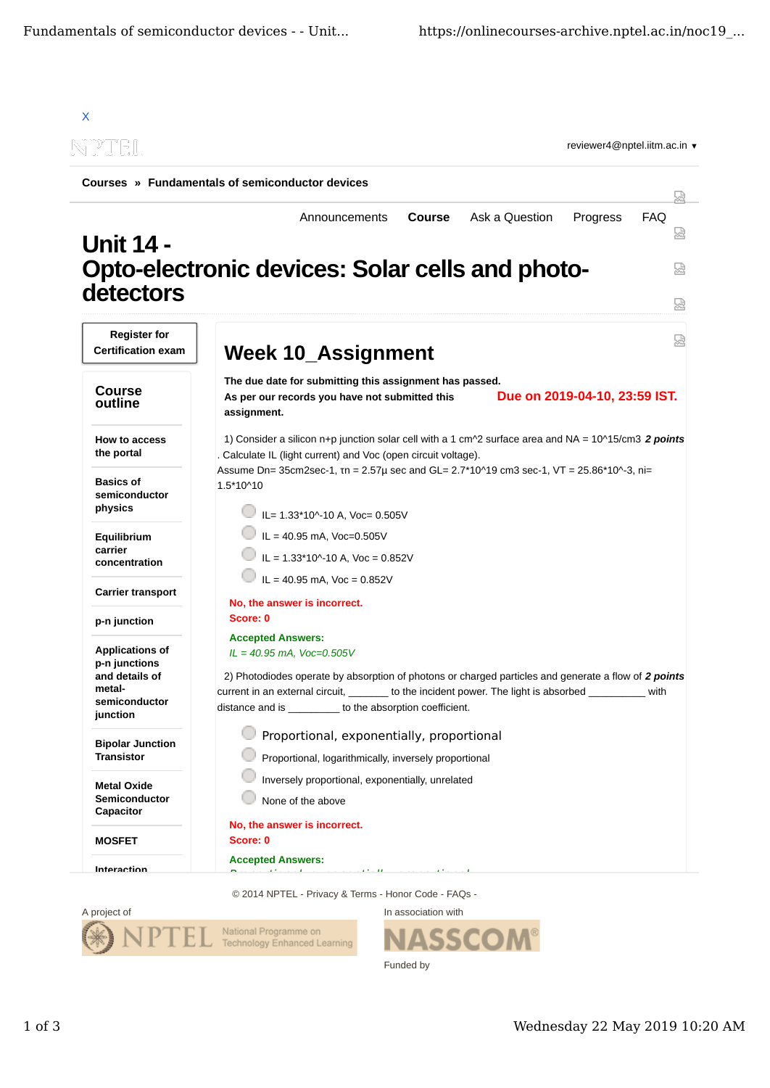

© 2014 NPTEL - Privacy & Terms - Honor Code - FAQs -



ASSCO Funded by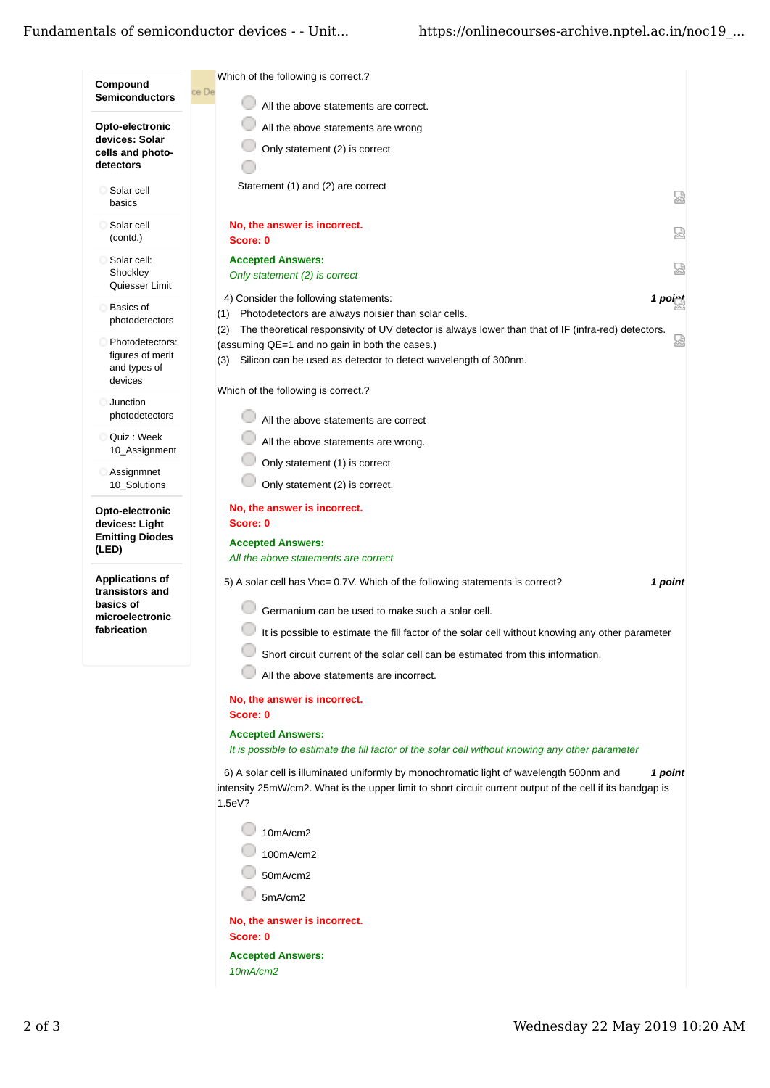| Which of the following is correct.?<br>Compound<br>ce De                                                                |                                                                                                                                                                                                                 |
|-------------------------------------------------------------------------------------------------------------------------|-----------------------------------------------------------------------------------------------------------------------------------------------------------------------------------------------------------------|
| <b>Semiconductors</b>                                                                                                   | All the above statements are correct.                                                                                                                                                                           |
| Opto-electronic                                                                                                         | All the above statements are wrong                                                                                                                                                                              |
| devices: Solar<br>Only statement (2) is correct<br>cells and photo-                                                     |                                                                                                                                                                                                                 |
| detectors                                                                                                               |                                                                                                                                                                                                                 |
| Statement (1) and (2) are correct<br>Solar cell<br>basics                                                               | 덣                                                                                                                                                                                                               |
| Solar cell<br>No, the answer is incorrect.<br>(contd.)<br>Score: 0                                                      | 덣                                                                                                                                                                                                               |
| Solar cell:<br><b>Accepted Answers:</b>                                                                                 | 덣                                                                                                                                                                                                               |
| Shockley<br>Only statement (2) is correct<br>Quiesser Limit                                                             |                                                                                                                                                                                                                 |
| 4) Consider the following statements:<br><b>Basics of</b><br>(1)                                                        | 1 poirt<br>Photodetectors are always noisier than solar cells.                                                                                                                                                  |
| photodetectors<br>(2)                                                                                                   | The theoretical responsivity of UV detector is always lower than that of IF (infra-red) detectors.                                                                                                              |
| Photodetectors:<br>(assuming QE=1 and no gain in both the cases.)<br>figures of merit<br>(3)<br>and types of<br>devices | 썼<br>Silicon can be used as detector to detect wavelength of 300nm.                                                                                                                                             |
| Which of the following is correct.?<br>Junction                                                                         |                                                                                                                                                                                                                 |
| photodetectors                                                                                                          | All the above statements are correct                                                                                                                                                                            |
| Quiz : Week<br>10 Assignment                                                                                            | All the above statements are wrong.                                                                                                                                                                             |
| Only statement (1) is correct<br>Assignmnet                                                                             |                                                                                                                                                                                                                 |
| Only statement (2) is correct.<br>10_Solutions                                                                          |                                                                                                                                                                                                                 |
| No, the answer is incorrect.<br>Opto-electronic<br>devices: Light<br>Score: 0                                           |                                                                                                                                                                                                                 |
| <b>Emitting Diodes</b><br><b>Accepted Answers:</b>                                                                      |                                                                                                                                                                                                                 |
| (LED)<br>All the above statements are correct                                                                           |                                                                                                                                                                                                                 |
| <b>Applications of</b><br>transistors and                                                                               | 5) A solar cell has Voc= 0.7V. Which of the following statements is correct?<br>1 point                                                                                                                         |
| basics of<br>microelectronic                                                                                            | Germanium can be used to make such a solar cell.                                                                                                                                                                |
| fabrication                                                                                                             | It is possible to estimate the fill factor of the solar cell without knowing any other parameter                                                                                                                |
|                                                                                                                         | Short circuit current of the solar cell can be estimated from this information.                                                                                                                                 |
|                                                                                                                         | All the above statements are incorrect.                                                                                                                                                                         |
| No, the answer is incorrect.                                                                                            |                                                                                                                                                                                                                 |
| Score: 0                                                                                                                |                                                                                                                                                                                                                 |
| <b>Accepted Answers:</b>                                                                                                | It is possible to estimate the fill factor of the solar cell without knowing any other parameter                                                                                                                |
|                                                                                                                         |                                                                                                                                                                                                                 |
| 1.5eV?                                                                                                                  | 6) A solar cell is illuminated uniformly by monochromatic light of wavelength 500nm and<br>1 point<br>intensity 25mW/cm2. What is the upper limit to short circuit current output of the cell if its bandgap is |
| 10mA/cm2                                                                                                                |                                                                                                                                                                                                                 |
| 100mA/cm2                                                                                                               |                                                                                                                                                                                                                 |
| 50mA/cm2                                                                                                                |                                                                                                                                                                                                                 |
| 5mA/cm2                                                                                                                 |                                                                                                                                                                                                                 |
| No, the answer is incorrect.                                                                                            |                                                                                                                                                                                                                 |
| Score: 0                                                                                                                |                                                                                                                                                                                                                 |
| <b>Accepted Answers:</b>                                                                                                |                                                                                                                                                                                                                 |
| 10mA/cm2                                                                                                                |                                                                                                                                                                                                                 |